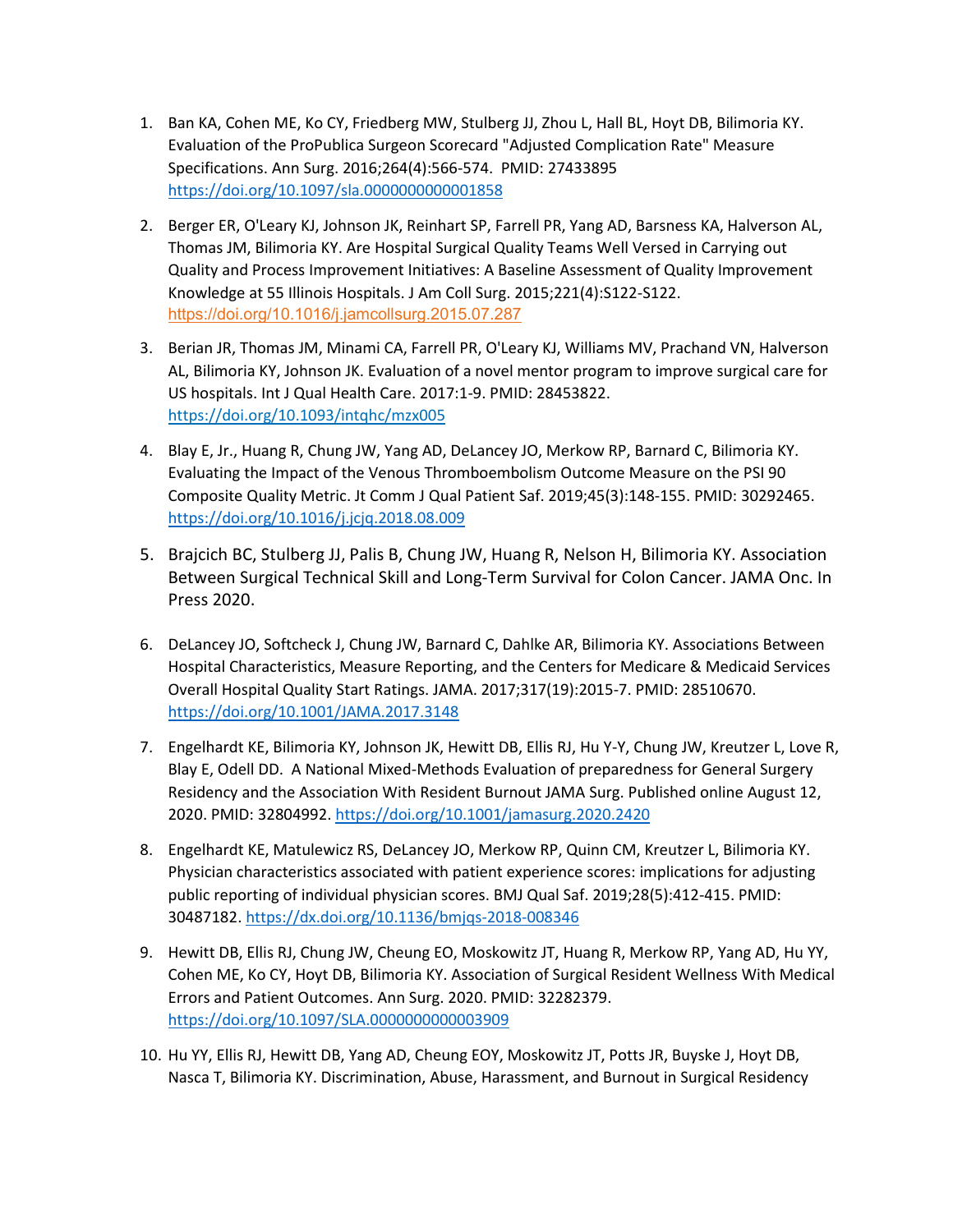- 1. Ban KA, Cohen ME, Ko CY, Friedberg MW, Stulberg JJ, Zhou L, Hall BL, Hoyt DB, Bilimoria KY. Evaluation of the ProPublica Surgeon Scorecard "Adjusted Complication Rate" Measure Specifications. Ann Surg. 2016;264(4):566-574. PMID: 27433895 <https://doi.org/10.1097/sla.0000000000001858>
- 2. Berger ER, O'Leary KJ, Johnson JK, Reinhart SP, Farrell PR, Yang AD, Barsness KA, Halverson AL, Thomas JM, Bilimoria KY. Are Hospital Surgical Quality Teams Well Versed in Carrying out Quality and Process Improvement Initiatives: A Baseline Assessment of Quality Improvement Knowledge at 55 Illinois Hospitals. J Am Coll Surg. 2015;221(4):S122-S122. [https://doi.org/10.1016/j.jamcollsurg.2015.07.287](https://www-sciencedirect-com.ezproxy.galter.northwestern.edu/science/article/pii/S1072751515007814?via%3Dihub)
- 3. Berian JR, Thomas JM, Minami CA, Farrell PR, O'Leary KJ, Williams MV, Prachand VN, Halverson AL, Bilimoria KY, Johnson JK. Evaluation of a novel mentor program to improve surgical care for US hospitals. Int J Qual Health Care. 2017:1-9. PMID: 28453822. <https://doi.org/10.1093/intqhc/mzx005>
- 4. Blay E, Jr., Huang R, Chung JW, Yang AD, DeLancey JO, Merkow RP, Barnard C, Bilimoria KY. Evaluating the Impact of the Venous Thromboembolism Outcome Measure on the PSI 90 Composite Quality Metric. Jt Comm J Qual Patient Saf. 2019;45(3):148-155. PMID: 30292465. <https://doi.org/10.1016/j.jcjq.2018.08.009>
- 5. Brajcich BC, Stulberg JJ, Palis B, Chung JW, Huang R, Nelson H, Bilimoria KY. Association Between Surgical Technical Skill and Long-Term Survival for Colon Cancer. JAMA Onc. In Press 2020.
- 6. DeLancey JO, Softcheck J, Chung JW, Barnard C, Dahlke AR, Bilimoria KY. Associations Between Hospital Characteristics, Measure Reporting, and the Centers for Medicare & Medicaid Services Overall Hospital Quality Start Ratings. JAMA. 2017;317(19):2015-7. PMID: 28510670. <https://doi.org/10.1001/JAMA.2017.3148>
- 7. Engelhardt KE, Bilimoria KY, Johnson JK, Hewitt DB, Ellis RJ, Hu Y-Y, Chung JW, Kreutzer L, Love R, Blay E, Odell DD. A National Mixed-Methods Evaluation of preparedness for General Surgery Residency and the Association With Resident Burnout JAMA Surg. Published online August 12, 2020. PMID: 32804992. <https://doi.org/10.1001/jamasurg.2020.2420>
- 8. Engelhardt KE, Matulewicz RS, DeLancey JO, Merkow RP, Quinn CM, Kreutzer L, Bilimoria KY. Physician characteristics associated with patient experience scores: implications for adjusting public reporting of individual physician scores. BMJ Qual Saf. 2019;28(5):412-415. PMID: 30487182.<https://dx.doi.org/10.1136/bmjqs-2018-008346>
- 9. Hewitt DB, Ellis RJ, Chung JW, Cheung EO, Moskowitz JT, Huang R, Merkow RP, Yang AD, Hu YY, Cohen ME, Ko CY, Hoyt DB, Bilimoria KY. Association of Surgical Resident Wellness With Medical Errors and Patient Outcomes. Ann Surg. 2020. PMID: 32282379. <https://doi.org/10.1097/SLA.0000000000003909>
- 10. Hu YY, Ellis RJ, Hewitt DB, Yang AD, Cheung EOY, Moskowitz JT, Potts JR, Buyske J, Hoyt DB, Nasca T, Bilimoria KY. Discrimination, Abuse, Harassment, and Burnout in Surgical Residency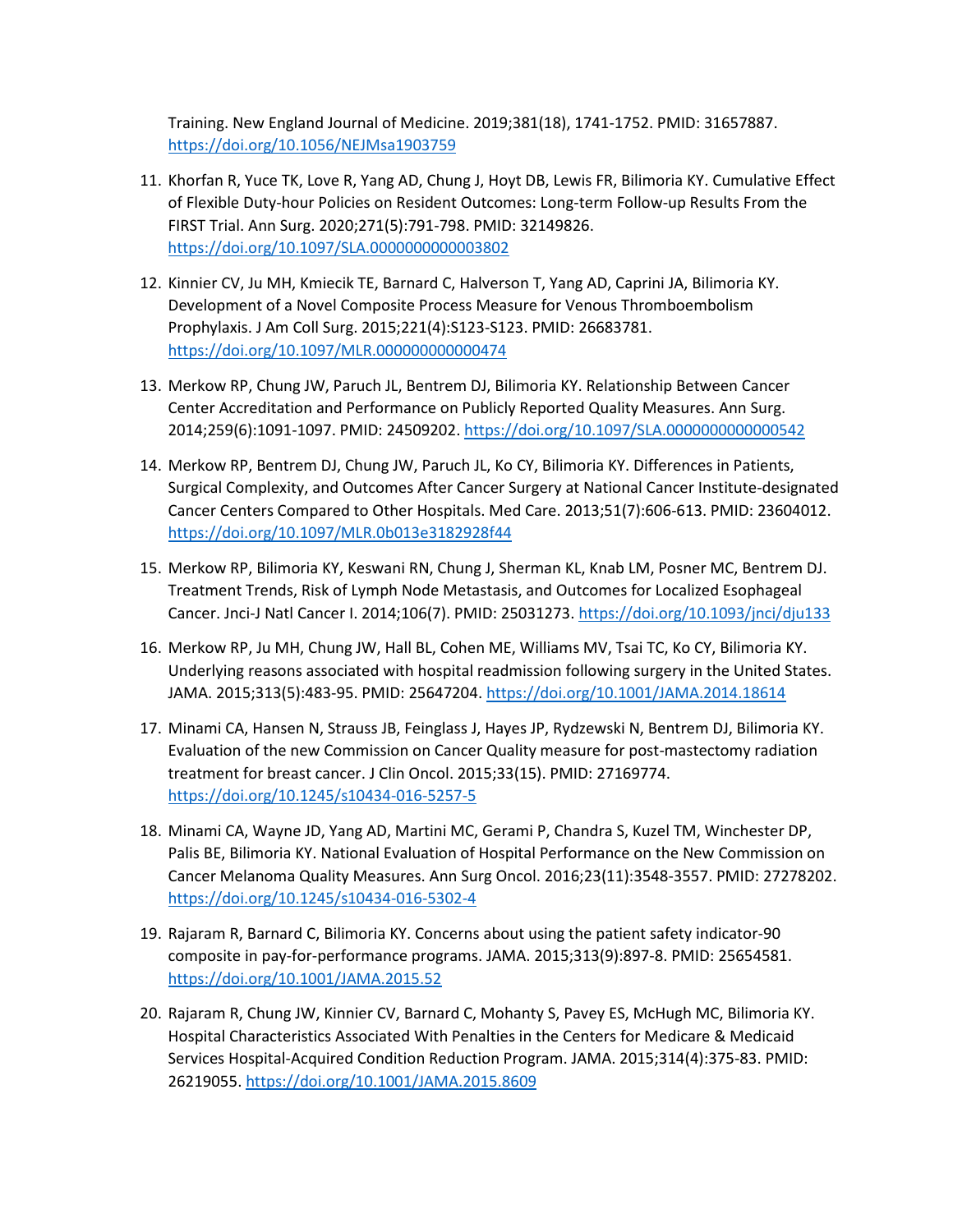Training. New England Journal of Medicine. 2019;381(18), 1741-1752. PMID: 31657887. <https://doi.org/10.1056/NEJMsa1903759>

- 11. Khorfan R, Yuce TK, Love R, Yang AD, Chung J, Hoyt DB, Lewis FR, Bilimoria KY. Cumulative Effect of Flexible Duty-hour Policies on Resident Outcomes: Long-term Follow-up Results From the FIRST Trial. Ann Surg. 2020;271(5):791-798. PMID: 32149826. <https://doi.org/10.1097/SLA.0000000000003802>
- 12. Kinnier CV, Ju MH, Kmiecik TE, Barnard C, Halverson T, Yang AD, Caprini JA, Bilimoria KY. Development of a Novel Composite Process Measure for Venous Thromboembolism Prophylaxis. J Am Coll Surg. 2015;221(4):S123-S123. PMID: 26683781. <https://doi.org/10.1097/MLR.000000000000474>
- 13. Merkow RP, Chung JW, Paruch JL, Bentrem DJ, Bilimoria KY. Relationship Between Cancer Center Accreditation and Performance on Publicly Reported Quality Measures. Ann Surg. 2014;259(6):1091-1097. PMID: 24509202.<https://doi.org/10.1097/SLA.0000000000000542>
- 14. Merkow RP, Bentrem DJ, Chung JW, Paruch JL, Ko CY, Bilimoria KY. Differences in Patients, Surgical Complexity, and Outcomes After Cancer Surgery at National Cancer Institute-designated Cancer Centers Compared to Other Hospitals. Med Care. 2013;51(7):606-613. PMID: 23604012. <https://doi.org/10.1097/MLR.0b013e3182928f44>
- 15. Merkow RP, Bilimoria KY, Keswani RN, Chung J, Sherman KL, Knab LM, Posner MC, Bentrem DJ. Treatment Trends, Risk of Lymph Node Metastasis, and Outcomes for Localized Esophageal Cancer. Jnci-J Natl Cancer I. 2014;106(7). PMID: 25031273.<https://doi.org/10.1093/jnci/dju133>
- 16. Merkow RP, Ju MH, Chung JW, Hall BL, Cohen ME, Williams MV, Tsai TC, Ko CY, Bilimoria KY. Underlying reasons associated with hospital readmission following surgery in the United States. JAMA. 2015;313(5):483-95. PMID: 25647204. <https://doi.org/10.1001/JAMA.2014.18614>
- 17. Minami CA, Hansen N, Strauss JB, Feinglass J, Hayes JP, Rydzewski N, Bentrem DJ, Bilimoria KY. Evaluation of the new Commission on Cancer Quality measure for post-mastectomy radiation treatment for breast cancer. J Clin Oncol. 2015;33(15). PMID: 27169774. <https://doi.org/10.1245/s10434-016-5257-5>
- 18. Minami CA, Wayne JD, Yang AD, Martini MC, Gerami P, Chandra S, Kuzel TM, Winchester DP, Palis BE, Bilimoria KY. National Evaluation of Hospital Performance on the New Commission on Cancer Melanoma Quality Measures. Ann Surg Oncol. 2016;23(11):3548-3557. PMID: 27278202. <https://doi.org/10.1245/s10434-016-5302-4>
- 19. Rajaram R, Barnard C, Bilimoria KY. Concerns about using the patient safety indicator-90 composite in pay-for-performance programs. JAMA. 2015;313(9):897-8. PMID: 25654581. <https://doi.org/10.1001/JAMA.2015.52>
- 20. Rajaram R, Chung JW, Kinnier CV, Barnard C, Mohanty S, Pavey ES, McHugh MC, Bilimoria KY. Hospital Characteristics Associated With Penalties in the Centers for Medicare & Medicaid Services Hospital-Acquired Condition Reduction Program. JAMA. 2015;314(4):375-83. PMID: 26219055.<https://doi.org/10.1001/JAMA.2015.8609>